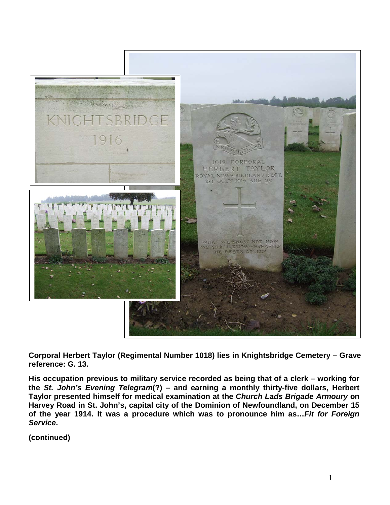

**Corporal Herbert Taylor (Regimental Number 1018) lies in Knightsbridge Cemetery – Grave reference: G. 13.**

**His occupation previous to military service recorded as being that of a clerk – working for the** *St. John's Evening Telegram***(?) – and earning a monthly thirty-five dollars, Herbert Taylor presented himself for medical examination at the** *Church Lads Brigade Armoury* **on Harvey Road in St. John's, capital city of the Dominion of Newfoundland, on December 15 of the year 1914. It was a procedure which was to pronounce him as…***Fit for Foreign Service***.**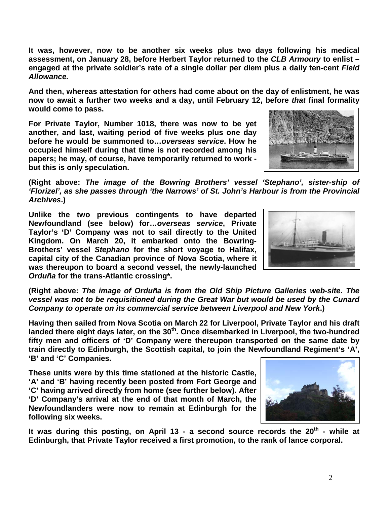**It was, however, now to be another six weeks plus two days following his medical assessment, on January 28, before Herbert Taylor returned to the** *CLB Armoury* **to enlist – engaged at the private soldier's rate of a single dollar per diem plus a daily ten-cent** *Field Allowance.*

**And then, whereas attestation for others had come about on the day of enlistment, he was now to await a further two weeks and a day, until February 12, before** *that* **final formality would come to pass.**

**For Private Taylor, Number 1018, there was now to be yet another, and last, waiting period of five weeks plus one day before he would be summoned to…***overseas service***. How he occupied himself during that time is not recorded among his papers; he may, of course, have temporarily returned to work but this is only speculation.**



**(Right above:** *The image of the Bowring Brothers' vessel 'Stephano', sister-ship of 'Florizel', as she passes through 'the Narrows' of St. John's Harbour is from the Provincial Archives***.)** 

**Unlike the two previous contingents to have departed Newfoundland (see below) for…***overseas service***, Private Taylor's 'D' Company was not to sail directly to the United Kingdom. On March 20, it embarked onto the Bowring-Brothers' vessel** *Stephano* **for the short voyage to Halifax, capital city of the Canadian province of Nova Scotia, where it was thereupon to board a second vessel, the newly-launched**  *Orduña* **for the trans-Atlantic crossing\*.**



**(Right above:** *The image of Orduña is from the Old Ship Picture Galleries web-site***.** *The vessel was not to be requisitioned during the Great War but would be used by the Cunard Company to operate on its commercial service between Liverpool and New York***.)**

**Having then sailed from Nova Scotia on March 22 for Liverpool, Private Taylor and his draft landed there eight days later, on the 30th. Once disembarked in Liverpool, the two-hundred fifty men and officers of 'D' Company were thereupon transported on the same date by train directly to Edinburgh, the Scottish capital, to join the Newfoundland Regiment's 'A', 'B' and 'C' Companies.** 

**These units were by this time stationed at the historic Castle, 'A' and 'B' having recently been posted from Fort George and 'C' having arrived directly from home (see further below). After 'D' Company's arrival at the end of that month of March, the Newfoundlanders were now to remain at Edinburgh for the following six weeks.** 



It was during this posting, on April 13 - a second source records the 20<sup>th</sup> - while at **Edinburgh, that Private Taylor received a first promotion, to the rank of lance corporal.**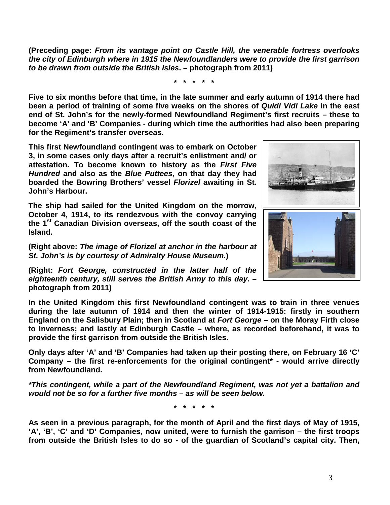**(Preceding page:** *From its vantage point on Castle Hill, the venerable fortress overlooks the city of Edinburgh where in 1915 the Newfoundlanders were to provide the first garrison to be drawn from outside the British Isles***. – photograph from 2011)** 

**\* \* \* \* \***

**Five to six months before that time, in the late summer and early autumn of 1914 there had been a period of training of some five weeks on the shores of** *Quidi Vidi Lake* **in the east end of St. John's for the newly-formed Newfoundland Regiment's first recruits – these to become 'A' and 'B' Companies - during which time the authorities had also been preparing for the Regiment's transfer overseas.**

**This first Newfoundland contingent was to embark on October 3, in some cases only days after a recruit's enlistment and/ or attestation. To become known to history as the** *First Five Hundred* **and also as the** *Blue Puttees***, on that day they had boarded the Bowring Brothers' vessel** *Florizel* **awaiting in St. John's Harbour.**

**The ship had sailed for the United Kingdom on the morrow, October 4, 1914, to its rendezvous with the convoy carrying the 1st Canadian Division overseas, off the south coast of the Island.** 

**(Right above:** *The image of Florizel at anchor in the harbour at St. John's is by courtesy of Admiralty House Museum***.)**

**(Right:** *Fort George, constructed in the latter half of the eighteenth century, still serves the British Army to this day***. – photograph from 2011)**

**In the United Kingdom this first Newfoundland contingent was to train in three venues during the late autumn of 1914 and then the winter of 1914-1915: firstly in southern England on the Salisbury Plain; then in Scotland at** *Fort George* **– on the Moray Firth close to Inverness; and lastly at Edinburgh Castle – where, as recorded beforehand, it was to provide the first garrison from outside the British Isles.** 

**Only days after 'A' and 'B' Companies had taken up their posting there, on February 16 'C' Company – the first re-enforcements for the original contingent\* - would arrive directly from Newfoundland.**

*\*This contingent, while a part of the Newfoundland Regiment, was not yet a battalion and would not be so for a further five months – as will be seen below.*

**\* \* \* \* \***

**As seen in a previous paragraph, for the month of April and the first days of May of 1915, 'A', 'B', 'C' and 'D' Companies, now united, were to furnish the garrison – the first troops from outside the British Isles to do so - of the guardian of Scotland's capital city. Then,** 

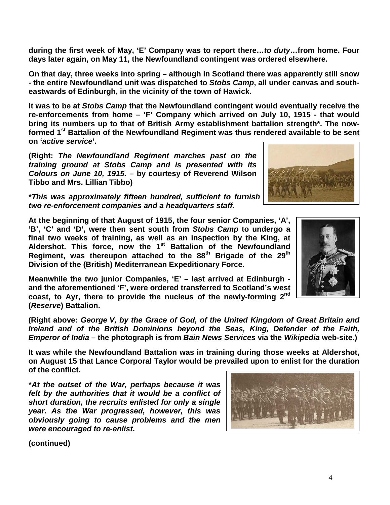4

**during the first week of May, 'E' Company was to report there…***to duty***…from home. Four days later again, on May 11, the Newfoundland contingent was ordered elsewhere.** 

**On that day, three weeks into spring – although in Scotland there was apparently still snow - the entire Newfoundland unit was dispatched to** *Stobs Camp***, all under canvas and southeastwards of Edinburgh, in the vicinity of the town of Hawick.**

**It was to be at** *Stobs Camp* **that the Newfoundland contingent would eventually receive the re-enforcements from home – 'F' Company which arrived on July 10, 1915 - that would bring its numbers up to that of British Army establishment battalion strength\*. The nowformed 1st Battalion of the Newfoundland Regiment was thus rendered available to be sent on '***active service***'.**

**(Right:** *The Newfoundland Regiment marches past on the training ground at Stobs Camp and is presented with its Colours on June 10, 1915.* **– by courtesy of Reverend Wilson Tibbo and Mrs. Lillian Tibbo)**

**\****This was approximately fifteen hundred, sufficient to furnish four 'fighting' companies, two re-enforcement companies and a headquarters staff.*

**At the beginning of that August of 1915, the four senior Companies, 'A', 'B', 'C' and 'D', were then sent south from** *Stobs Camp* **to undergo a final two weeks of training, as well as an inspection by the King, at Aldershot. This force, now the 1st Battalion of the Newfoundland Regiment, was thereupon attached to the 88th Brigade of the 29th Division of the (British) Mediterranean Expeditionary Force.**

**Meanwhile the two junior Companies, 'E' – last arrived at Edinburgh and the aforementioned 'F', were ordered transferred to Scotland's west coast, to Ayr, there to provide the nucleus of the newly-forming 2nd (***Reserve***) Battalion.**

**(Right above:** *George V, by the Grace of God, of the United Kingdom of Great Britain and Ireland and of the British Dominions beyond the Seas, King, Defender of the Faith, Emperor of India* **– the photograph is from** *Bain News Services* **via the** *Wikipedia* **web-site.)**

**It was while the Newfoundland Battalion was in training during those weeks at Aldershot, on August 15 that Lance Corporal Taylor would be prevailed upon to enlist for the duration of the conflict.**

**\****At the outset of the War, perhaps because it was felt by the authorities that it would be a conflict of short duration, the recruits enlisted for only a single year. As the War progressed, however, this was obviously going to cause problems and the men were encouraged to re-enlist***.**





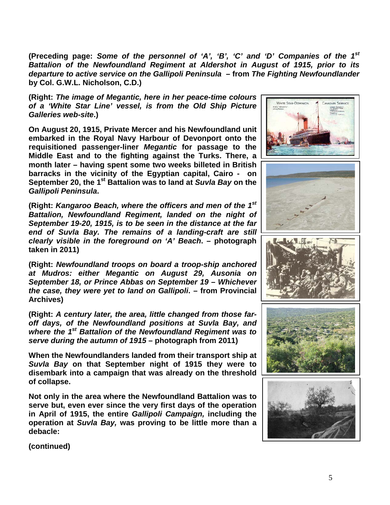**(Preceding page:** *Some of the personnel of 'A', 'B', 'C' and 'D' Companies of the 1st Battalion of the Newfoundland Regiment at Aldershot in August of 1915, prior to its departure to active service on the Gallipoli Peninsula* **– from** *The Fighting Newfoundlander*  **by Col. G.W.L. Nicholson, C.D.)**

**(Right:** *The image of Megantic, here in her peace-time colours of a 'White Star Line' vessel, is from the Old Ship Picture Galleries web-site***.)**

**On August 20, 1915, Private Mercer and his Newfoundland unit embarked in the Royal Navy Harbour of Devonport onto the requisitioned passenger-liner** *Megantic* **for passage to the Middle East and to the fighting against the Turks. There, a month later – having spent some two weeks billeted in British barracks in the vicinity of the Egyptian capital, Cairo - on September 20, the 1st Battalion was to land at** *Suvla Bay* **on the**  *Gallipoli Peninsula***.**

**(Right:** *Kangaroo Beach, where the officers and men of the 1st Battalion, Newfoundland Regiment, landed on the night of September 19-20, 1915, is to be seen in the distance at the far end of Suvla Bay. The remains of a landing-craft are still clearly visible in the foreground on 'A' Beach***. – photograph taken in 2011)**

**(Right:** *Newfoundland troops on board a troop-ship anchored at Mudros: either Megantic on August 29, Ausonia on September 18, or Prince Abbas on September 19 – Whichever the case, they were yet to land on Gallipoli***. – from Provincial Archives)**

**(Right:** *A century later, the area, little changed from those faroff days, of the Newfoundland positions at Suvla Bay, and where the 1st Battalion of the Newfoundland Regiment was to serve during the autumn of 1915* **– photograph from 2011)**

**When the Newfoundlanders landed from their transport ship at** *Suvla Bay* **on that September night of 1915 they were to disembark into a campaign that was already on the threshold of collapse.**

**Not only in the area where the Newfoundland Battalion was to serve but, even ever since the very first days of the operation in April of 1915, the entire** *Gallipoli Campaign,* **including the operation at** *Suvla Bay,* **was proving to be little more than a debacle:** 

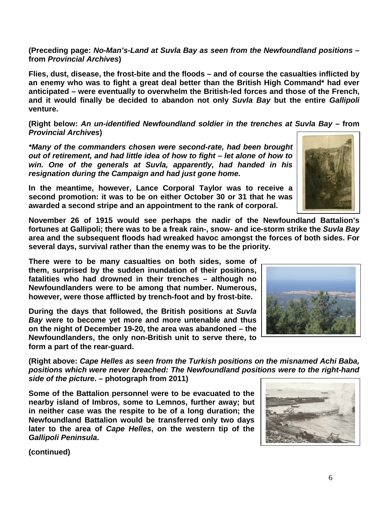**(Preceding page:** *No-Man's-Land at Suvla Bay as seen from the Newfoundland positions* **– from** *Provincial Archives***)**

**Flies, dust, disease, the frost-bite and the floods – and of course the casualties inflicted by an enemy who was to fight a great deal better than the British High Command\* had ever anticipated – were eventually to overwhelm the British-led forces and those of the French, and it would finally be decided to abandon not only** *Suvla Bay* **but the entire** *Gallipoli* **venture.**

**(Right below:** *An un-identified Newfoundland soldier in the trenches at Suvla Bay –* **from**  *Provincial Archives***)**

*\*Many of the commanders chosen were second-rate, had been brought out of retirement, and had little idea of how to fight – let alone of how to win. One of the generals at Suvla, apparently, had handed in his resignation during the Campaign and had just gone home.*

**In the meantime, however, Lance Corporal Taylor was to receive a second promotion: it was to be on either October 30 or 31 that he was awarded a second stripe and an appointment to the rank of corporal.**

**November 26 of 1915 would see perhaps the nadir of the Newfoundland Battalion's fortunes at Gallipoli; there was to be a freak rain-, snow- and ice-storm strike the** *Suvla Bay* **area and the subsequent floods had wreaked havoc amongst the forces of both sides. For several days, survival rather than the enemy was to be the priority.**

**There were to be many casualties on both sides, some of them, surprised by the sudden inundation of their positions, fatalities who had drowned in their trenches – although no Newfoundlanders were to be among that number. Numerous, however, were those afflicted by trench-foot and by frost-bite.**

**During the days that followed, the British positions at** *Suvla Bay* **were to become yet more and more untenable and thus on the night of December 19-20, the area was abandoned – the Newfoundlanders, the only non-British unit to serve there, to form a part of the rear-guard.** 

**(Right above:** *Cape Helles as seen from the Turkish positions on the misnamed Achi Baba, positions which were never breached: The Newfoundland positions were to the right-hand side of the picture***. – photograph from 2011)**

**Some of the Battalion personnel were to be evacuated to the nearby island of Imbros, some to Lemnos, further away; but in neither case was the respite to be of a long duration; the Newfoundland Battalion would be transferred only two days later to the area of** *Cape Helles***, on the western tip of the**  *Gallipoli Peninsula***.**





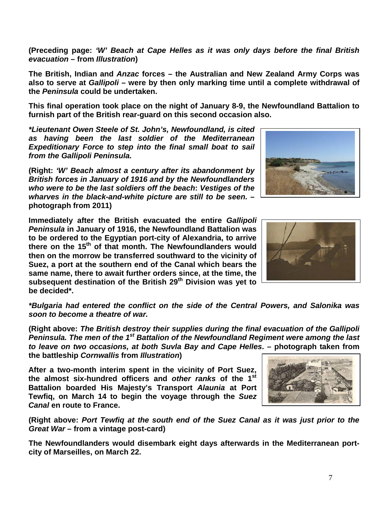**Battalion boarded His Majesty's Transport** *Alaunia* **at Port Tewfiq, on March 14 to begin the voyage through the** *Suez* 

**(Right above:** *Port Tewfiq at the south end of the Suez Canal as it was just prior to the Great War* **– from a vintage post-card)**

**The Newfoundlanders would disembark eight days afterwards in the Mediterranean portcity of Marseilles, on March 22.**

*soon to become a theatre of war.*

**(Right above:** *The British destroy their supplies during the final evacuation of the Gallipoli Peninsula. The men of the 1st Battalion of the Newfoundland Regiment were among the last to leave on two occasions, at both Suvla Bay and Cape Helles***. – photograph taken from** 

**the battleship** *Cornwallis* **from** *Illustration***)**

*Canal* **en route to France.** 

*from the Gallipoli Peninsula.*

**be decided\*.**

*\*Bulgaria had entered the conflict on the side of the Central Powers, and Salonika was* 

*wharves in the black-and-white picture are still to be seen.* **– photograph from 2011) Immediately after the British evacuated the entire** *Gallipoli Peninsula* **in January of 1916, the Newfoundland Battalion was to be ordered to the Egyptian port-city of Alexandria, to arrive there on the 15th of that month. The Newfoundlanders would then on the morrow be transferred southward to the vicinity of Suez, a port at the southern end of the Canal which bears the** 

**same name, there to await further orders since, at the time, the subsequent destination of the British 29th Division was yet to** 

**After a two-month interim spent in the vicinity of Port Suez, the almost six-hundred officers and** *other ranks* **of the 1st**

*British forces in January of 1916 and by the Newfoundlanders who were to be the last soldiers off the beach***:** *Vestiges of the* 

**(Right:** *'W' Beach almost a century after its abandonment by* 

**furnish part of the British rear-guard on this second occasion also.** *\*Lieutenant Owen Steele of St. John's, Newfoundland, is cited as having been the last soldier of the Mediterranean Expeditionary Force to step into the final small boat to sail* 

**The British, Indian and** *Anzac* **forces – the Australian and New Zealand Army Corps was also to serve at** *Gallipoli* **– were by then only marking time until a complete withdrawal of** 

**(Preceding page:** *'W' Beach at Cape Helles as it was only days before the final British* 

*evacuation* **– from** *Illustration***)**

**the** *Peninsula* **could be undertaken.** 

**This final operation took place on the night of January 8-9, the Newfoundland Battalion to** 



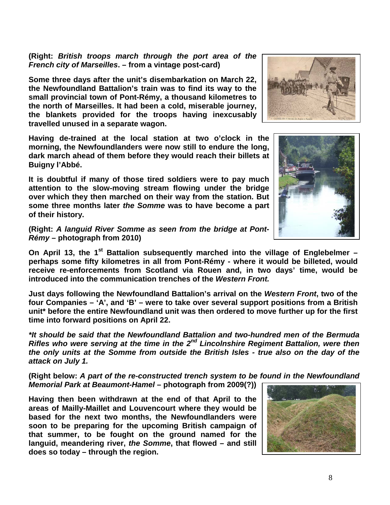**(Right:** *British troops march through the port area of the French city of Marseilles***. – from a vintage post-card)**

**Some three days after the unit's disembarkation on March 22, the Newfoundland Battalion's train was to find its way to the small provincial town of Pont-Rémy, a thousand kilometres to the north of Marseilles. It had been a cold, miserable journey, the blankets provided for the troops having inexcusably travelled unused in a separate wagon.**

**Having de-trained at the local station at two o'clock in the morning, the Newfoundlanders were now still to endure the long, dark march ahead of them before they would reach their billets at Buigny l'Abbé.**

**It is doubtful if many of those tired soldiers were to pay much attention to the slow-moving stream flowing under the bridge over which they then marched on their way from the station. But some three months later** *the Somme* **was to have become a part of their history.**

**(Right:** *A languid River Somme as seen from the bridge at Pont-Rémy* **– photograph from 2010)**

**On April 13, the 1st Battalion subsequently marched into the village of Englebelmer – perhaps some fifty kilometres in all from Pont-Rémy - where it would be billeted, would receive re-enforcements from Scotland via Rouen and, in two days' time, would be introduced into the communication trenches of the** *Western Front.*

**Just days following the Newfoundland Battalion's arrival on the** *Western Front***, two of the four Companies – 'A', and 'B' – were to take over several support positions from a British unit\* before the entire Newfoundland unit was then ordered to move further up for the first time into forward positions on April 22.**

*\*It should be said that the Newfoundland Battalion and two-hundred men of the Bermuda Rifles who were serving at the time in the 2nd Lincolnshire Regiment Battalion, were then the only units at the Somme from outside the British Isles - true also on the day of the attack on July 1.*

**(Right below:** *A part of the re-constructed trench system to be found in the Newfoundland Memorial Park at Beaumont-Hamel* **– photograph from 2009(?))**

**Having then been withdrawn at the end of that April to the areas of Mailly-Maillet and Louvencourt where they would be based for the next two months, the Newfoundlanders were soon to be preparing for the upcoming British campaign of that summer, to be fought on the ground named for the languid, meandering river,** *the Somme***, that flowed – and still does so today – through the region.** 







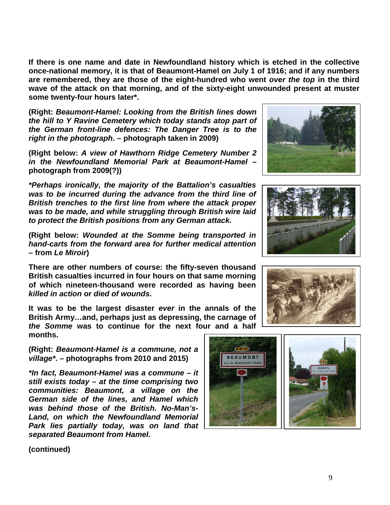**If there is one name and date in Newfoundland history which is etched in the collective once-national memory, it is that of Beaumont-Hamel on July 1 of 1916; and if any numbers are remembered, they are those of the eight-hundred who went** *over the top* **in the third wave of the attack on that morning, and of the sixty-eight unwounded present at muster some twenty-four hours later\*.**

**(Right:** *Beaumont-Hamel: Looking from the British lines down the hill to Y Ravine Cemetery which today stands atop part of the German front-line defences: The Danger Tree is to the right in the photograph***. – photograph taken in 2009)**

**(Right below:** *A view of Hawthorn Ridge Cemetery Number 2 in the Newfoundland Memorial Park at Beaumont-Hamel* **– photograph from 2009(?))**

*\*Perhaps ironically, the majority of the Battalion's casualties was to be incurred during the advance from the third line of British trenches to the first line from where the attack proper was to be made, and while struggling through British wire laid to protect the British positions from any German attack.*

**(Right below:** *Wounded at the Somme being transported in hand-carts from the forward area for further medical attention* **– from** *Le Miroir***)**

**There are other numbers of course: the fifty-seven thousand British casualties incurred in four hours on that same morning of which nineteen-thousand were recorded as having been**  *killed in action* **or** *died of wounds***.** 

**It was to be the largest disaster** *ever* **in the annals of the British Army…and, perhaps just as depressing, the carnage of**  *the Somme* **was to continue for the next four and a half months.**

**(Right:** *Beaumont-Hamel is a commune, not a village\****. – photographs from 2010 and 2015)**

*\*In fact, Beaumont-Hamel was a commune – it still exists today – at the time comprising two communities: Beaumont, a village on the German side of the lines, and Hamel which was behind those of the British. No-Man's-Land, on which the Newfoundland Memorial Park lies partially today, was on land that separated Beaumont from Hamel.*







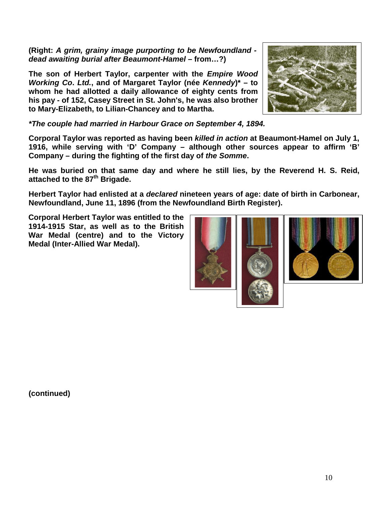**(Right:** *A grim, grainy image purporting to be Newfoundland dead awaiting burial after Beaumont-Hamel –* **from…?)**

**The son of Herbert Taylor, carpenter with the** *Empire Wood Working Co***.** *Ltd.***, and of Margaret Taylor (née** *Kennedy***)\* – to whom he had allotted a daily allowance of eighty cents from his pay - of 152, Casey Street in St. John's, he was also brother to Mary-Elizabeth, to Lilian-Chancey and to Martha.**

*\*The couple had married in Harbour Grace on September 4, 1894.*

**Corporal Taylor was reported as having been** *killed in action* **at Beaumont-Hamel on July 1, 1916, while serving with 'D' Company – although other sources appear to affirm 'B' Company – during the fighting of the first day of** *the Somme***.** 

**He was buried on that same day and where he still lies, by the Reverend H. S. Reid, attached to the 87th Brigade.**

**Herbert Taylor had enlisted at a** *declared* **nineteen years of age: date of birth in Carbonear, Newfoundland, June 11, 1896 (from the Newfoundland Birth Register).**

**Corporal Herbert Taylor was entitled to the 1914-1915 Star, as well as to the British War Medal (centre) and to the Victory Medal (Inter-Allied War Medal).**